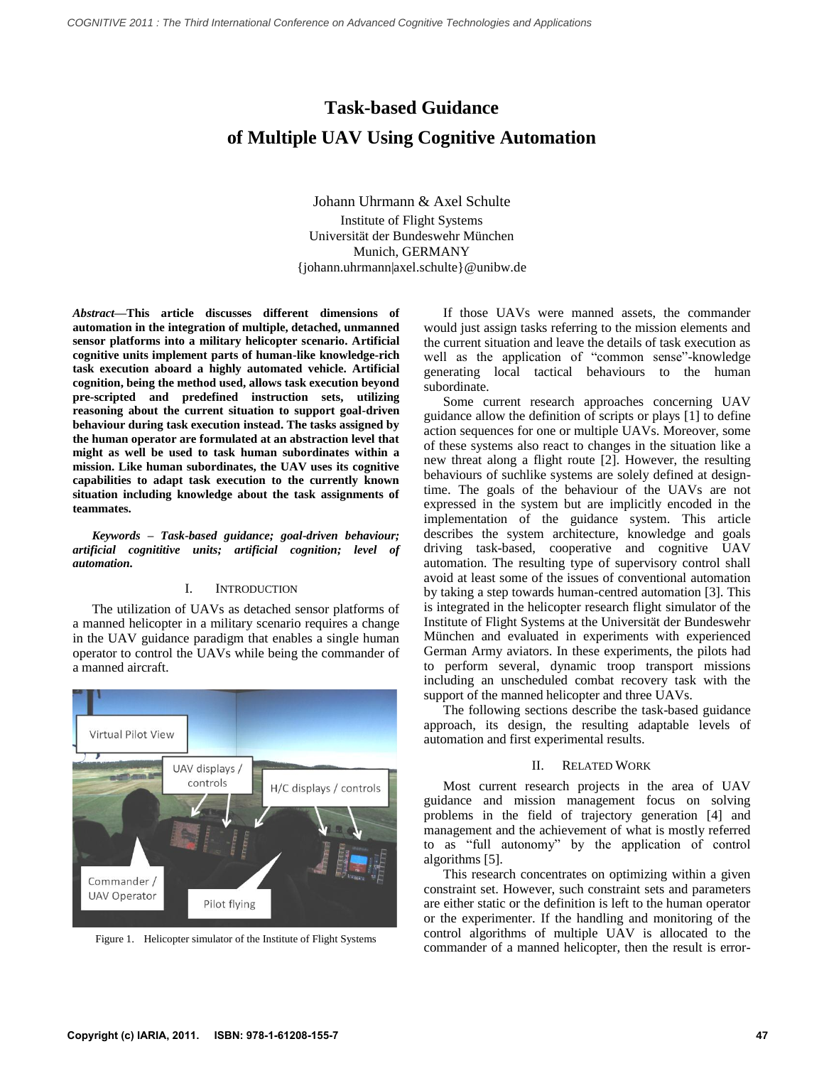# **Task-based Guidance of Multiple UAV Using Cognitive Automation**

Johann Uhrmann & Axel Schulte Institute of Flight Systems Universität der Bundeswehr München Munich, GERMANY {johann.uhrmann|axel.schulte}@unibw.de

*Abstract***—This article discusses different dimensions of automation in the integration of multiple, detached, unmanned sensor platforms into a military helicopter scenario. Artificial cognitive units implement parts of human-like knowledge-rich task execution aboard a highly automated vehicle. Artificial cognition, being the method used, allows task execution beyond pre-scripted and predefined instruction sets, utilizing reasoning about the current situation to support goal-driven behaviour during task execution instead. The tasks assigned by the human operator are formulated at an abstraction level that might as well be used to task human subordinates within a mission. Like human subordinates, the UAV uses its cognitive capabilities to adapt task execution to the currently known situation including knowledge about the task assignments of teammates.**

*Keywords – Task-based guidance; goal-driven behaviour; artificial cognititive units; artificial cognition; level of automation.*

#### I. INTRODUCTION

The utilization of UAVs as detached sensor platforms of a manned helicopter in a military scenario requires a change in the UAV guidance paradigm that enables a single human operator to control the UAVs while being the commander of a manned aircraft.

<span id="page-0-0"></span>

Figure 1. Helicopter simulator of the Institute of Flight Systems

If those UAVs were manned assets, the commander would just assign tasks referring to the mission elements and the current situation and leave the details of task execution as well as the application of "common sense"-knowledge generating local tactical behaviours to the human subordinate.

Some current research approaches concerning UAV guidance allow the definition of scripts or plays [1] to define action sequences for one or multiple UAVs. Moreover, some of these systems also react to changes in the situation like a new threat along a flight route [2]. However, the resulting behaviours of suchlike systems are solely defined at designtime. The goals of the behaviour of the UAVs are not expressed in the system but are implicitly encoded in the implementation of the guidance system. This article describes the system architecture, knowledge and goals driving task-based, cooperative and cognitive UAV automation. The resulting type of supervisory control shall avoid at least some of the issues of conventional automation by taking a step towards human-centred automation [3]. This is integrated in the helicopter research flight simulator of the Institute of Flight Systems at the Universität der Bundeswehr München and evaluated in experiments with experienced German Army aviators. In these experiments, the pilots had to perform several, dynamic troop transport missions including an unscheduled combat recovery task with the support of the manned helicopter and three UAVs.

The following sections describe the task-based guidance approach, its design, the resulting adaptable levels of automation and first experimental results.

#### II. RELATED WORK

Most current research projects in the area of UAV guidance and mission management focus on solving problems in the field of trajectory generation [4] and management and the achievement of what is mostly referred to as "full autonomy" by the application of control algorithms [5].

This research concentrates on optimizing within a given constraint set. However, such constraint sets and parameters are either static or the definition is left to the human operator or the experimenter. If the handling and monitoring of the control algorithms of multiple UAV is allocated to the commander of a manned helicopter, then the result is error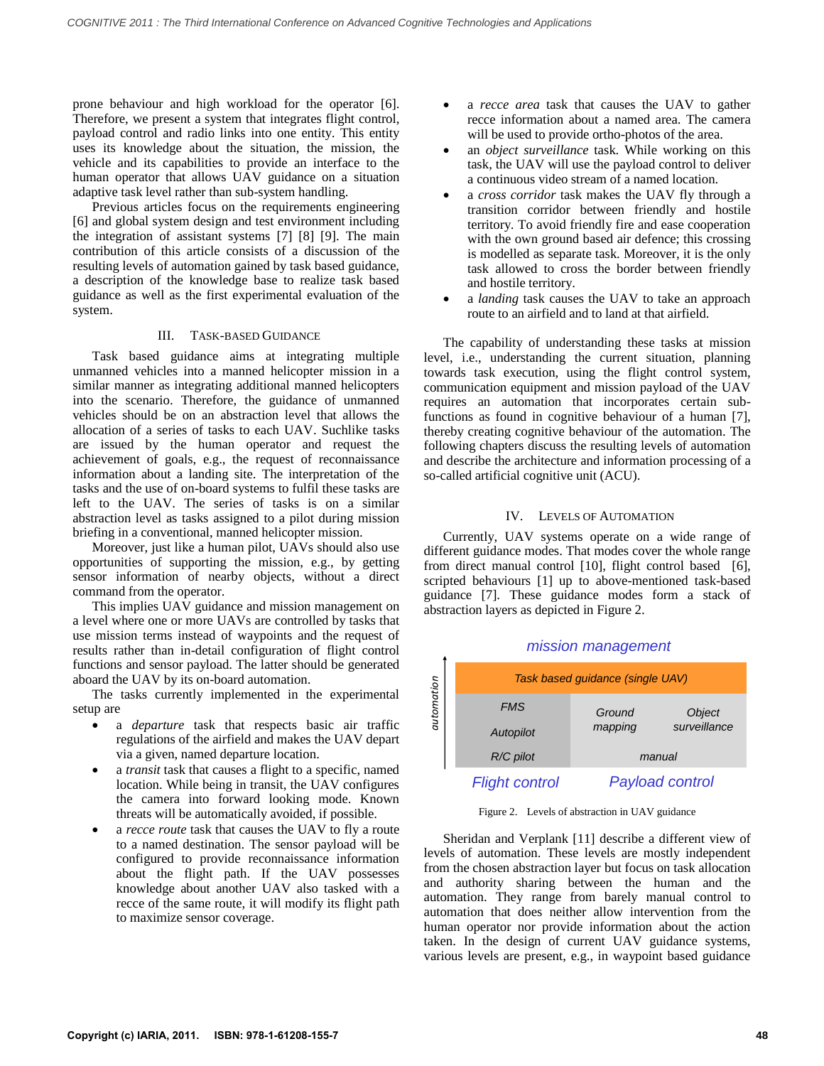prone behaviour and high workload for the operator [6]. Therefore, we present a system that integrates flight control, payload control and radio links into one entity. This entity uses its knowledge about the situation, the mission, the vehicle and its capabilities to provide an interface to the human operator that allows UAV guidance on a situation adaptive task level rather than sub-system handling.

Previous articles focus on the requirements engineering [6] and global system design and test environment including the integration of assistant systems [7] [8] [9]. The main contribution of this article consists of a discussion of the resulting levels of automation gained by task based guidance, a description of the knowledge base to realize task based guidance as well as the first experimental evaluation of the system.

## III. TASK-BASED GUIDANCE

Task based guidance aims at integrating multiple unmanned vehicles into a manned helicopter mission in a similar manner as integrating additional manned helicopters into the scenario. Therefore, the guidance of unmanned vehicles should be on an abstraction level that allows the allocation of a series of tasks to each UAV. Suchlike tasks are issued by the human operator and request the achievement of goals, e.g., the request of reconnaissance information about a landing site. The interpretation of the tasks and the use of on-board systems to fulfil these tasks are left to the UAV. The series of tasks is on a similar abstraction level as tasks assigned to a pilot during mission briefing in a conventional, manned helicopter mission.

Moreover, just like a human pilot, UAVs should also use opportunities of supporting the mission, e.g., by getting sensor information of nearby objects, without a direct command from the operator.

This implies  $UAV$  guidance and mission management on a level where one or more UAVs are controlled by tasks that use mission terms instead of waypoints and the request of results rather than in-detail configuration of flight control functions and sensor payload. The latter should be generated aboard the UAV by its on-board automation.

The tasks currently implemented in the experimental setup are

- a *departure* task that respects basic air traffic regulations of the airfield and makes the UAV depart via a given, named departure location.
- a *transit* task that causes a flight to a specific, named location. While being in transit, the UAV configures the camera into forward looking mode. Known threats will be automatically avoided, if possible.
- a *recce route* task that causes the UAV to fly a route to a named destination. The sensor payload will be configured to provide reconnaissance information about the flight path. If the UAV possesses knowledge about another UAV also tasked with a recce of the same route, it will modify its flight path to maximize sensor coverage.
- a *recce area* task that causes the UAV to gather recce information about a named area. The camera will be used to provide ortho-photos of the area.
- an *object surveillance* task. While working on this task, the UAV will use the payload control to deliver a continuous video stream of a named location.
- a *cross corridor* task makes the UAV fly through a transition corridor between friendly and hostile territory. To avoid friendly fire and ease cooperation with the own ground based air defence; this crossing is modelled as separate task. Moreover, it is the only task allowed to cross the border between friendly and hostile territory.
- a *landing* task causes the UAV to take an approach route to an airfield and to land at that airfield.

The capability of understanding these tasks at mission level, i.e., understanding the current situation, planning towards task execution, using the flight control system, communication equipment and mission payload of the UAV requires an automation that incorporates certain subfunctions as found in cognitive behaviour of a human [7], thereby creating cognitive behaviour of the automation. The following chapters discuss the resulting levels of automation and describe the architecture and information processing of a so-called artificial cognitive unit (ACU).

## IV. LEVELS OF AUTOMATION

<span id="page-1-1"></span>Currently, UAV systems operate on a wide range of different guidance modes. That modes cover the whole range from direct manual control [10], flight control based [6], scripted behaviours [1] up to above-mentioned task-based guidance [7]. These guidance modes form a stack of abstraction layers as depicted in Figure [2.](#page-1-0)



Figure 2. Levels of abstraction in UAV guidance

<span id="page-1-0"></span>Sheridan and Verplank [11] describe a different view of levels of automation. These levels are mostly independent from the chosen abstraction layer but focus on task allocation and authority sharing between the human and the automation. They range from barely manual control to automation that does neither allow intervention from the human operator nor provide information about the action taken. In the design of current UAV guidance systems, various levels are present, e.g., in waypoint based guidance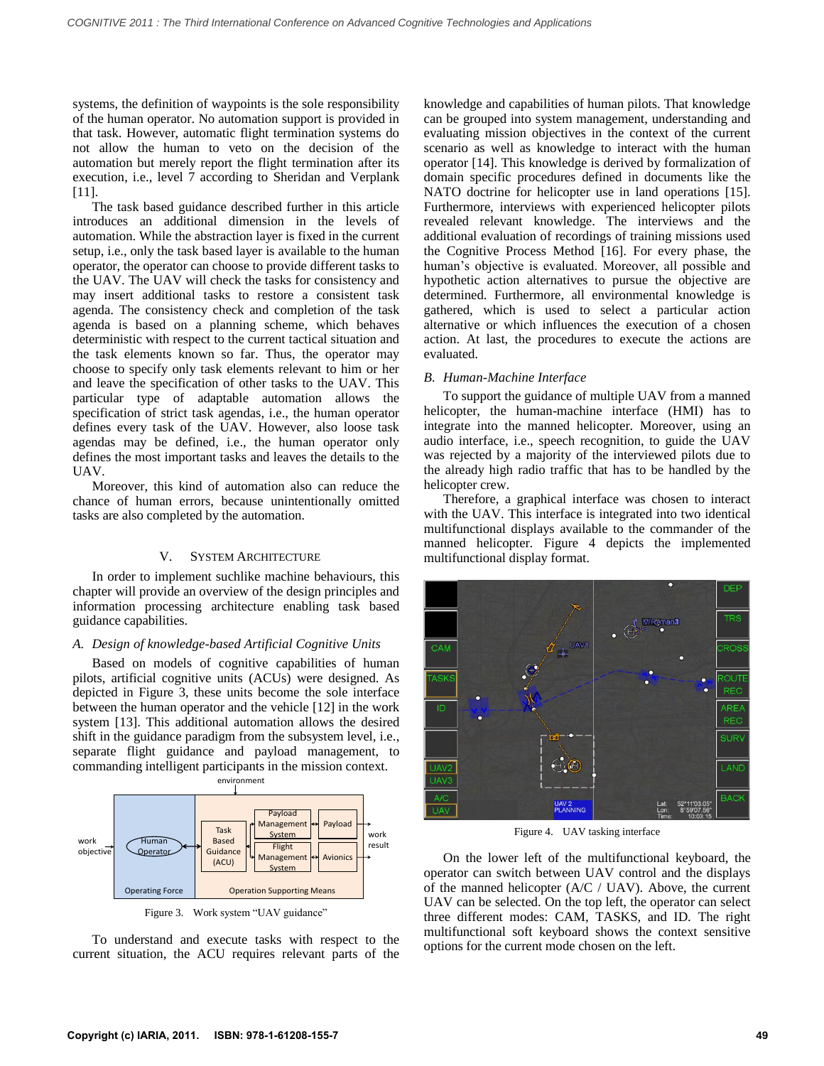systems, the definition of waypoints is the sole responsibility of the human operator. No automation support is provided in that task. However, automatic flight termination systems do not allow the human to veto on the decision of the automation but merely report the flight termination after its execution, i.e., level 7 according to Sheridan and Verplank [11].

The task based guidance described further in this article introduces an additional dimension in the levels of automation. While the abstraction layer is fixed in the current setup, i.e., only the task based layer is available to the human operator, the operator can choose to provide different tasks to the UAV. The UAV will check the tasks for consistency and may insert additional tasks to restore a consistent task agenda. The consistency check and completion of the task agenda is based on a planning scheme, which behaves deterministic with respect to the current tactical situation and the task elements known so far. Thus, the operator may choose to specify only task elements relevant to him or her and leave the specification of other tasks to the UAV. This particular type of adaptable automation allows the specification of strict task agendas, i.e., the human operator defines every task of the UAV. However, also loose task agendas may be defined, i.e., the human operator only defines the most important tasks and leaves the details to the UAV.

Moreover, this kind of automation also can reduce the chance of human errors, because unintentionally omitted tasks are also completed by the automation.

# V. SYSTEM ARCHITECTURE

In order to implement suchlike machine behaviours, this chapter will provide an overview of the design principles and information processing architecture enabling task based guidance capabilities.

# *A. Design of knowledge-based Artificial Cognitive Units*

Based on models of cognitive capabilities of human pilots, artificial cognitive units (ACUs) were designed. As depicted in Figure [3,](#page-2-0) these units become the sole interface between the human operator and the vehicle [12] in the work system [13]. This additional automation allows the desired shift in the guidance paradigm from the subsystem level, i.e., separate flight guidance and payload management, to commanding intelligent participants in the mission context.



Figure 3. Work system "UAV guidance"

<span id="page-2-0"></span>To understand and execute tasks with respect to the current situation, the ACU requires relevant parts of the knowledge and capabilities of human pilots. That knowledge can be grouped into system management, understanding and evaluating mission objectives in the context of the current scenario as well as knowledge to interact with the human operator [14]. This knowledge is derived by formalization of domain specific procedures defined in documents like the NATO doctrine for helicopter use in land operations [15]. Furthermore, interviews with experienced helicopter pilots revealed relevant knowledge. The interviews and the additional evaluation of recordings of training missions used the Cognitive Process Method [16]. For every phase, the human's objective is evaluated. Moreover, all possible and hypothetic action alternatives to pursue the objective are determined. Furthermore, all environmental knowledge is gathered, which is used to select a particular action alternative or which influences the execution of a chosen action. At last, the procedures to execute the actions are evaluated.

## *B. Human-Machine Interface*

To support the guidance of multiple UAV from a manned helicopter, the human-machine interface (HMI) has to integrate into the manned helicopter. Moreover, using an audio interface, i.e., speech recognition, to guide the UAV was rejected by a majority of the interviewed pilots due to the already high radio traffic that has to be handled by the helicopter crew.

Therefore, a graphical interface was chosen to interact with the UAV. This interface is integrated into two identical multifunctional displays available to the commander of the manned helicopter. Figure [4](#page-2-1) depicts the implemented multifunctional display format.



Figure 4. UAV tasking interface

<span id="page-2-1"></span>On the lower left of the multifunctional keyboard, the operator can switch between UAV control and the displays of the manned helicopter (A/C / UAV). Above, the current UAV can be selected. On the top left, the operator can select three different modes: CAM, TASKS, and ID. The right multifunctional soft keyboard shows the context sensitive options for the current mode chosen on the left.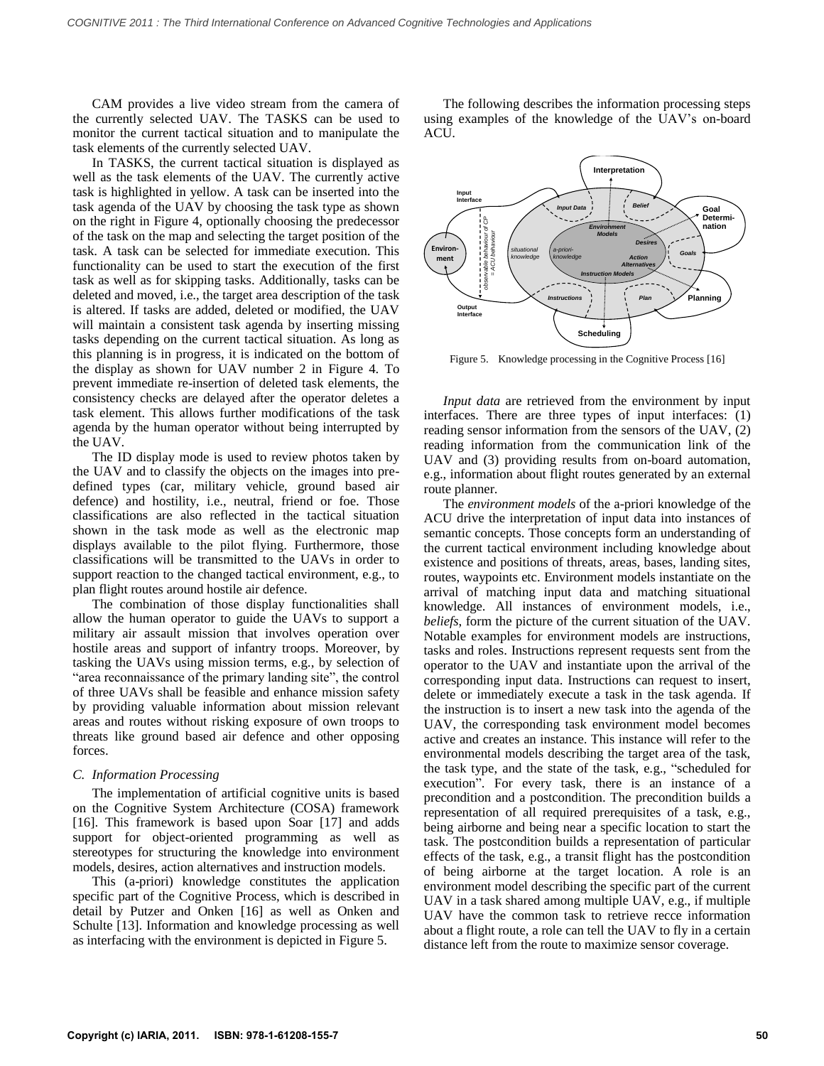CAM provides a live video stream from the camera of the currently selected UAV. The TASKS can be used to monitor the current tactical situation and to manipulate the task elements of the currently selected UAV.

In TASKS, the current tactical situation is displayed as well as the task elements of the UAV. The currently active task is highlighted in yellow. A task can be inserted into the task agenda of the UAV by choosing the task type as shown on the right in Figure [4,](#page-2-1) optionally choosing the predecessor of the task on the map and selecting the target position of the task. A task can be selected for immediate execution. This functionality can be used to start the execution of the first task as well as for skipping tasks. Additionally, tasks can be deleted and moved, i.e., the target area description of the task is altered. If tasks are added, deleted or modified, the UAV will maintain a consistent task agenda by inserting missing tasks depending on the current tactical situation. As long as this planning is in progress, it is indicated on the bottom of the display as shown for UAV number 2 in Figure [4.](#page-2-1) To prevent immediate re-insertion of deleted task elements, the consistency checks are delayed after the operator deletes a task element. This allows further modifications of the task agenda by the human operator without being interrupted by the UAV.

The ID display mode is used to review photos taken by the UAV and to classify the objects on the images into predefined types (car, military vehicle, ground based air defence) and hostility, i.e., neutral, friend or foe. Those classifications are also reflected in the tactical situation shown in the task mode as well as the electronic map displays available to the pilot flying. Furthermore, those classifications will be transmitted to the UAVs in order to support reaction to the changed tactical environment, e.g., to plan flight routes around hostile air defence.

The combination of those display functionalities shall allow the human operator to guide the UAVs to support a military air assault mission that involves operation over hostile areas and support of infantry troops. Moreover, by tasking the UAVs using mission terms, e.g., by selection of "area reconnaissance of the primary landing site", the control of three UAVs shall be feasible and enhance mission safety by providing valuable information about mission relevant areas and routes without risking exposure of own troops to threats like ground based air defence and other opposing forces.

# *C. Information Processing*

The implementation of artificial cognitive units is based on the Cognitive System Architecture (COSA) framework [16]. This framework is based upon Soar [17] and adds support for object-oriented programming as well as stereotypes for structuring the knowledge into environment models, desires, action alternatives and instruction models.

This (a-priori) knowledge constitutes the application specific part of the Cognitive Process, which is described in detail by Putzer and Onken [16] as well as Onken and Schulte [13]. Information and knowledge processing as well as interfacing with the environment is depicted in Figure [5.](#page-3-0)

The following describes the information processing steps using examples of the knowledge of the UAV's on-board ACU.



<span id="page-3-0"></span>Figure 5. Knowledge processing in the Cognitive Process [16]

*Input data* are retrieved from the environment by input interfaces. There are three types of input interfaces: (1) reading sensor information from the sensors of the UAV, (2) reading information from the communication link of the UAV and (3) providing results from on-board automation, e.g., information about flight routes generated by an external route planner.

The *environment models* of the a-priori knowledge of the ACU drive the interpretation of input data into instances of semantic concepts. Those concepts form an understanding of the current tactical environment including knowledge about existence and positions of threats, areas, bases, landing sites, routes, waypoints etc. Environment models instantiate on the arrival of matching input data and matching situational knowledge. All instances of environment models, i.e., *beliefs*, form the picture of the current situation of the UAV. Notable examples for environment models are instructions, tasks and roles. Instructions represent requests sent from the operator to the UAV and instantiate upon the arrival of the corresponding input data. Instructions can request to insert, delete or immediately execute a task in the task agenda. If the instruction is to insert a new task into the agenda of the UAV, the corresponding task environment model becomes active and creates an instance. This instance will refer to the environmental models describing the target area of the task, the task type, and the state of the task, e.g., "scheduled for execution". For every task, there is an instance of a precondition and a postcondition. The precondition builds a representation of all required prerequisites of a task, e.g., being airborne and being near a specific location to start the task. The postcondition builds a representation of particular effects of the task, e.g., a transit flight has the postcondition of being airborne at the target location. A role is an environment model describing the specific part of the current UAV in a task shared among multiple UAV, e.g., if multiple UAV have the common task to retrieve recce information about a flight route, a role can tell the UAV to fly in a certain distance left from the route to maximize sensor coverage.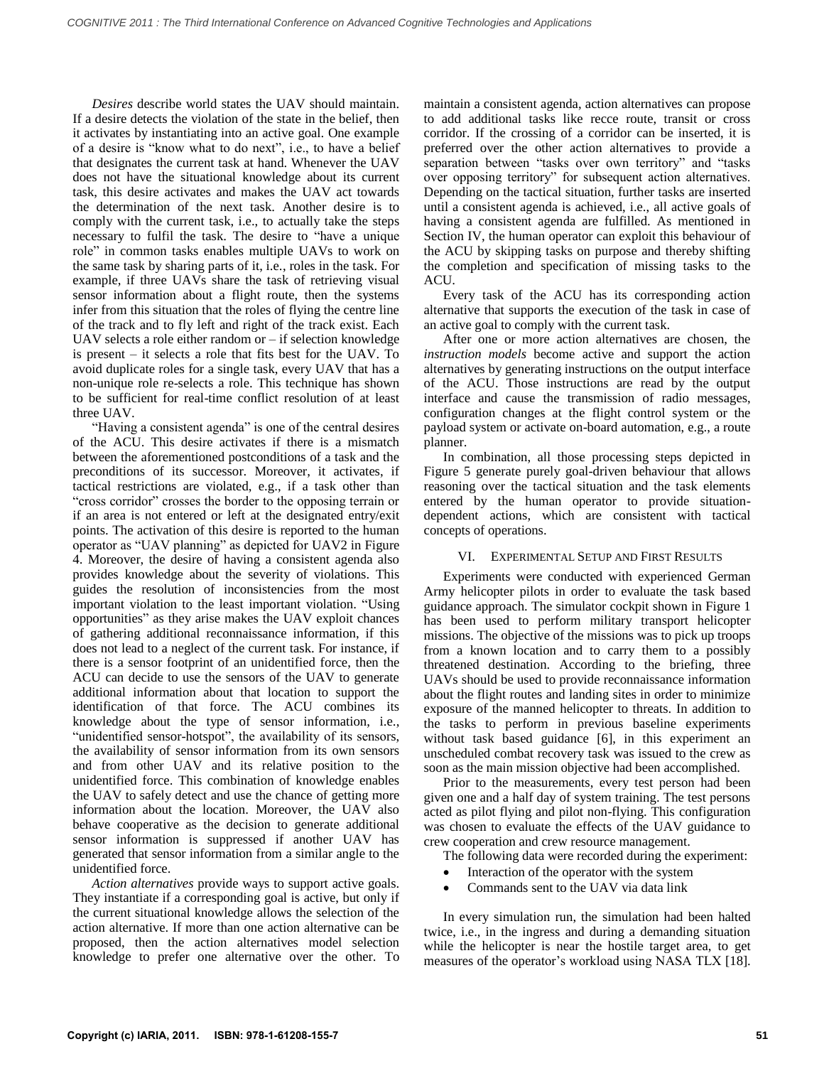*Desires* describe world states the UAV should maintain. If a desire detects the violation of the state in the belief, then it activates by instantiating into an active goal. One example of a desire is "know what to do next", i.e., to have a belief that designates the current task at hand. Whenever the UAV does not have the situational knowledge about its current task, this desire activates and makes the UAV act towards the determination of the next task. Another desire is to comply with the current task, i.e., to actually take the steps necessary to fulfil the task. The desire to "have a unique role" in common tasks enables multiple UAVs to work on the same task by sharing parts of it, i.e., roles in the task. For example, if three UAVs share the task of retrieving visual sensor information about a flight route, then the systems infer from this situation that the roles of flying the centre line of the track and to fly left and right of the track exist. Each UAV selects a role either random or – if selection knowledge is present – it selects a role that fits best for the UAV. To avoid duplicate roles for a single task, every UAV that has a non-unique role re-selects a role. This technique has shown to be sufficient for real-time conflict resolution of at least three UAV.

"Having a consistent agenda" is one of the central desires of the ACU. This desire activates if there is a mismatch between the aforementioned postconditions of a task and the preconditions of its successor. Moreover, it activates, if tactical restrictions are violated, e.g., if a task other than "cross corridor" crosses the border to the opposing terrain or if an area is not entered or left at the designated entry/exit points. The activation of this desire is reported to the human operator as "UAV planning" as depicted for UAV2 in Figure [4.](#page-2-1) Moreover, the desire of having a consistent agenda also provides knowledge about the severity of violations. This guides the resolution of inconsistencies from the most important violation to the least important violation. "Using opportunities" as they arise makes the UAV exploit chances of gathering additional reconnaissance information, if this does not lead to a neglect of the current task. For instance, if there is a sensor footprint of an unidentified force, then the ACU can decide to use the sensors of the UAV to generate additional information about that location to support the identification of that force. The ACU combines its knowledge about the type of sensor information, i.e., "unidentified sensor-hotspot", the availability of its sensors, the availability of sensor information from its own sensors and from other UAV and its relative position to the unidentified force. This combination of knowledge enables the UAV to safely detect and use the chance of getting more information about the location. Moreover, the UAV also behave cooperative as the decision to generate additional sensor information is suppressed if another UAV has generated that sensor information from a similar angle to the unidentified force.

*Action alternatives* provide ways to support active goals. They instantiate if a corresponding goal is active, but only if the current situational knowledge allows the selection of the action alternative. If more than one action alternative can be proposed, then the action alternatives model selection knowledge to prefer one alternative over the other. To

maintain a consistent agenda, action alternatives can propose to add additional tasks like recce route, transit or cross corridor. If the crossing of a corridor can be inserted, it is preferred over the other action alternatives to provide a separation between "tasks over own territory" and "tasks over opposing territory" for subsequent action alternatives. Depending on the tactical situation, further tasks are inserted until a consistent agenda is achieved, i.e., all active goals of having a consistent agenda are fulfilled. As mentioned in Section [IV,](#page-1-1) the human operator can exploit this behaviour of the ACU by skipping tasks on purpose and thereby shifting the completion and specification of missing tasks to the ACU.

Every task of the ACU has its corresponding action alternative that supports the execution of the task in case of an active goal to comply with the current task.

After one or more action alternatives are chosen, the *instruction models* become active and support the action alternatives by generating instructions on the output interface of the ACU. Those instructions are read by the output interface and cause the transmission of radio messages, configuration changes at the flight control system or the payload system or activate on-board automation, e.g., a route planner.

In combination, all those processing steps depicted in Figure [5](#page-3-0) generate purely goal-driven behaviour that allows reasoning over the tactical situation and the task elements entered by the human operator to provide situationdependent actions, which are consistent with tactical concepts of operations.

# VI. EXPERIMENTAL SETUP AND FIRST RESULTS

Experiments were conducted with experienced German Army helicopter pilots in order to evaluate the task based guidance approach. The simulator cockpit shown in Figure [1](#page-0-0) has been used to perform military transport helicopter missions. The objective of the missions was to pick up troops from a known location and to carry them to a possibly threatened destination. According to the briefing, three UAVs should be used to provide reconnaissance information about the flight routes and landing sites in order to minimize exposure of the manned helicopter to threats. In addition to the tasks to perform in previous baseline experiments without task based guidance [6], in this experiment an unscheduled combat recovery task was issued to the crew as soon as the main mission objective had been accomplished.

Prior to the measurements, every test person had been given one and a half day of system training. The test persons acted as pilot flying and pilot non-flying. This configuration was chosen to evaluate the effects of the UAV guidance to crew cooperation and crew resource management.

The following data were recorded during the experiment:

- Interaction of the operator with the system
- Commands sent to the UAV via data link

In every simulation run, the simulation had been halted twice, i.e., in the ingress and during a demanding situation while the helicopter is near the hostile target area, to get measures of the operator's workload using NASA TLX [18].